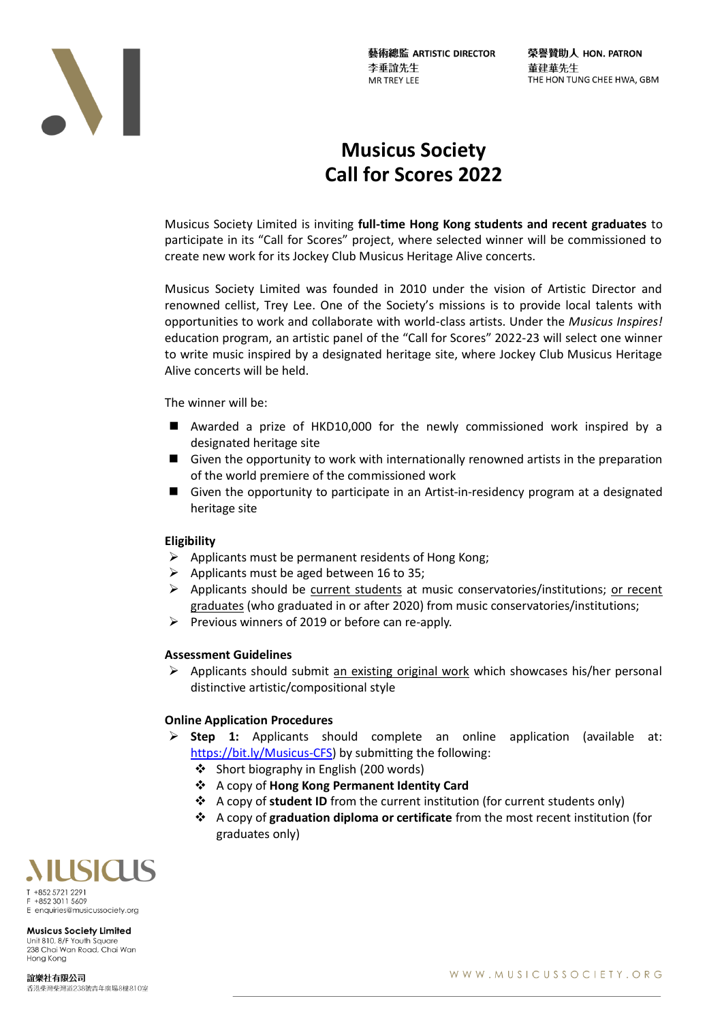藝術總監 ARTISTIC DIRECTOR 李垂誼先生 **MR TREY LEE** 

榮譽贊助人 HON. PATRON 董建華先生 THE HON TUNG CHEE HWA, GBM



# **Musicus Society Call for Scores 2022**

Musicus Society Limited is inviting **full-time Hong Kong students and recent graduates** to participate in its "Call for Scores" project, where selected winner will be commissioned to create new work for its Jockey Club Musicus Heritage Alive concerts.

Musicus Society Limited was founded in 2010 under the vision of Artistic Director and renowned cellist, Trey Lee. One of the Society's missions is to provide local talents with opportunities to work and collaborate with world-class artists. Under the *Musicus Inspires!* education program, an artistic panel of the "Call for Scores" 2022-23 will select one winner to write music inspired by a designated heritage site, where Jockey Club Musicus Heritage Alive concerts will be held.

The winner will be:

- Awarded a prize of HKD10,000 for the newly commissioned work inspired by a designated heritage site
- Given the opportunity to work with internationally renowned artists in the preparation of the world premiere of the commissioned work
- Given the opportunity to participate in an Artist-in-residency program at a designated heritage site

## **Eligibility**

- $\triangleright$  Applicants must be permanent residents of Hong Kong;
- $\triangleright$  Applicants must be aged between 16 to 35;
- ➢ Applicants should be current students at music conservatories/institutions; or recent graduates (who graduated in or after 2020) from music conservatories/institutions;
- ➢ Previous winners of 2019 or before can re-apply.

#### **Assessment Guidelines**

 $\triangleright$  Applicants should submit an existing original work which showcases his/her personal distinctive artistic/compositional style

## **Online Application Procedures**

- ➢ **Step 1:** Applicants should complete an online application (available at: [https://bit.ly/Musicus-CFS\)](https://bit.ly/Musicus-CFS) by submitting the following:
	- ❖ Short biography in English (200 words)
	- ❖ A copy of **Hong Kong Permanent Identity Card**
	- ❖ A copy of **student ID** from the current institution (for current students only)
	- ❖ A copy of **graduation diploma or certificate** from the most recent institution (for graduates only)



E enquiries@musicussociety.org

**Musicus Society Limited** Unit 810, 8/F Youth Sauare 238 Chai Wan Road, Chai Wan Hong Kong

誼樂社有限公司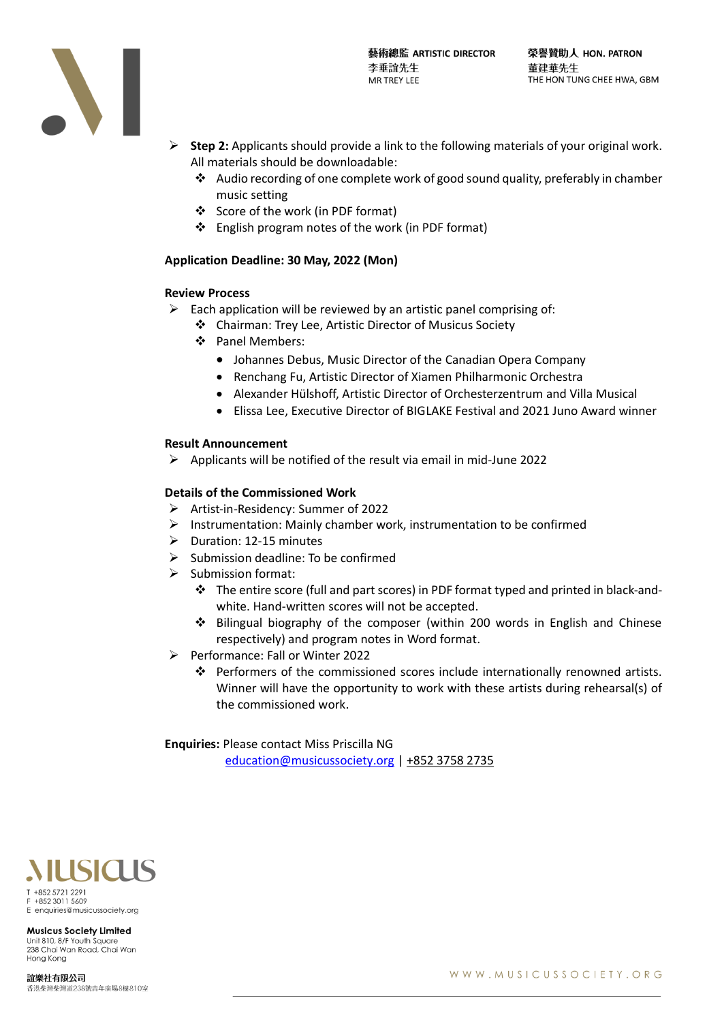

- ➢ **Step 2:** Applicants should provide a link to the following materials of your original work. All materials should be downloadable:
	- ❖ Audio recording of one complete work of good sound quality, preferably in chamber music setting
	- ❖ Score of the work (in PDF format)
	- ❖ English program notes of the work (in PDF format)

## **Application Deadline: 30 May, 2022 (Mon)**

#### **Review Process**

- $\triangleright$  Each application will be reviewed by an artistic panel comprising of:
	- ❖ Chairman: Trey Lee, Artistic Director of Musicus Society
	- ❖ Panel Members:
		- Johannes Debus, Music Director of the Canadian Opera Company
		- Renchang Fu, Artistic Director of Xiamen Philharmonic Orchestra
		- Alexander Hülshoff, Artistic Director of Orchesterzentrum and Villa Musical
		- Elissa Lee, Executive Director of BIGLAKE Festival and 2021 Juno Award winner

#### **Result Announcement**

 $\triangleright$  Applicants will be notified of the result via email in mid-June 2022

#### **Details of the Commissioned Work**

- ➢ Artist-in-Residency: Summer of 2022
- $\triangleright$  Instrumentation: Mainly chamber work, instrumentation to be confirmed
- ➢ Duration: 12-15 minutes
- ➢ Submission deadline: To be confirmed
- ➢ Submission format:
	- ❖ The entire score (full and part scores) in PDF format typed and printed in black-andwhite. Hand-written scores will not be accepted.
	- ❖ Bilingual biography of the composer (within 200 words in English and Chinese respectively) and program notes in Word format.
- ➢ Performance: Fall or Winter 2022
	- ❖ Performers of the commissioned scores include internationally renowned artists. Winner will have the opportunity to work with these artists during rehearsal(s) of the commissioned work.

**Enquiries:** Please contact Miss Priscilla NG

[education@musicussociety.org](mailto:education@musicussociety.org) | +852 3758 2735



enquiries@musicussociety.org **Musicus Society Limited** 

Unit 810, 8/F Youth Square 238 Chai Wan Road, Chai Wan Hong Kong

誼樂社有限公司